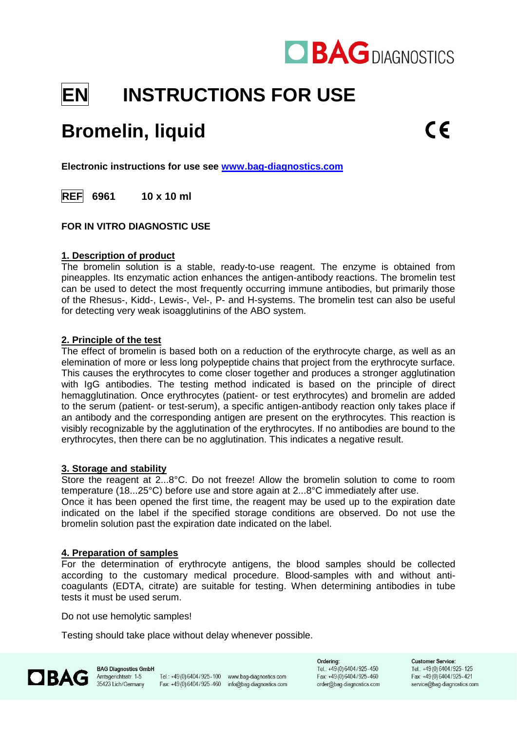

# **EN INSTRUCTIONS FOR USE**

## **Bromelin, liquid**

**Electronic instructions for use see [www.bag-diagnostics.com](http://www.bag-diagnostics.com/)**

**REF 6961 10 x 10 ml**

## **FOR IN VITRO DIAGNOSTIC USE**

### **1. Description of product**

The bromelin solution is a stable, ready-to-use reagent. The enzyme is obtained from pineapples. Its enzymatic action enhances the antigen-antibody reactions. The bromelin test can be used to detect the most frequently occurring immune antibodies, but primarily those of the Rhesus-, Kidd-, Lewis-, Vel-, P- and H-systems. The bromelin test can also be useful for detecting very weak isoagglutinins of the ABO system.

### **2. Principle of the test**

The effect of bromelin is based both on a reduction of the erythrocyte charge, as well as an elemination of more or less long polypeptide chains that project from the erythrocyte surface. This causes the erythrocytes to come closer together and produces a stronger agglutination with IgG antibodies. The testing method indicated is based on the principle of direct hemagglutination. Once erythrocytes (patient- or test erythrocytes) and bromelin are added to the serum (patient- or test-serum), a specific antigen-antibody reaction only takes place if an antibody and the corresponding antigen are present on the erythrocytes. This reaction is visibly recognizable by the agglutination of the erythrocytes. If no antibodies are bound to the erythrocytes, then there can be no agglutination. This indicates a negative result.

## **3. Storage and stability**

Store the reagent at 2...8°C. Do not freeze! Allow the bromelin solution to come to room temperature (18...25°C) before use and store again at 2...8°C immediately after use.

Once it has been opened the first time, the reagent may be used up to the expiration date indicated on the label if the specified storage conditions are observed. Do not use the bromelin solution past the expiration date indicated on the label.

## **4. Preparation of samples**

For the determination of erythrocyte antigens, the blood samples should be collected according to the customary medical procedure. Blood-samples with and without anticoagulants (EDTA, citrate) are suitable for testing. When determining antibodies in tube tests it must be used serum.

Do not use hemolytic samples!

Testing should take place without delay whenever possible.



Tel.: +49(0)6404/925-100 www.bag-diagnostics.com Fax: +49(0)6404/925-460 info@bag-diagnostics.com Ordering: Tel.: +49(0)6404/925-450 Fax: +49(0)6404/925-460 order@bag-diagnostics.com

**Customer Service:** Tel.: +49 (0) 6404 / 925 - 125 Fax: +49(0) 6404/925-421 service@bag-diagnostics.com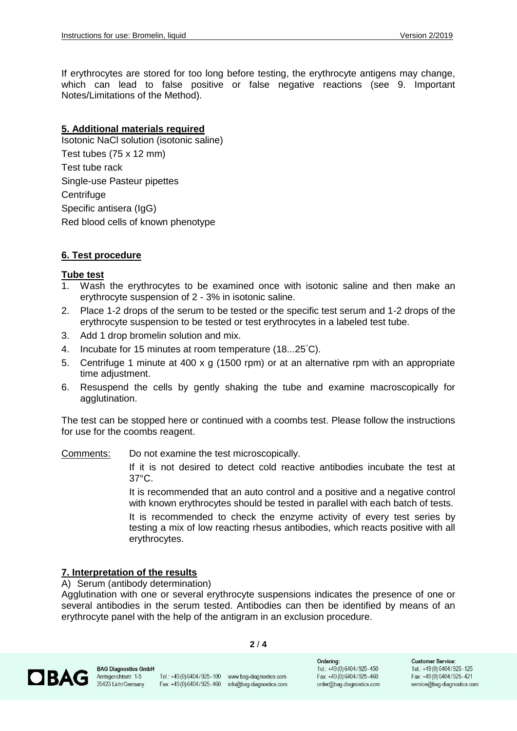If erythrocytes are stored for too long before testing, the erythrocyte antigens may change, which can lead to false positive or false negative reactions (see 9. Important Notes/Limitations of the Method).

## **5. Additional materials required**

Isotonic NaCl solution (isotonic saline) Test tubes (75 x 12 mm) Test tube rack Single-use Pasteur pipettes **Centrifuge** Specific antisera (IgG) Red blood cells of known phenotype

### **6. Test procedure**

### **Tube test**

- 1. Wash the erythrocytes to be examined once with isotonic saline and then make an erythrocyte suspension of 2 - 3% in isotonic saline.
- 2. Place 1-2 drops of the serum to be tested or the specific test serum and 1-2 drops of the erythrocyte suspension to be tested or test erythrocytes in a labeled test tube.
- 3. Add 1 drop bromelin solution and mix.
- 4. Incubate for 15 minutes at room temperature (18...25°C).
- 5. Centrifuge 1 minute at 400 x g (1500 rpm) or at an alternative rpm with an appropriate time adjustment.
- 6. Resuspend the cells by gently shaking the tube and examine macroscopically for agglutination.

The test can be stopped here or continued with a coombs test. Please follow the instructions for use for the coombs reagent.

Comments: Do not examine the test microscopically.

If it is not desired to detect cold reactive antibodies incubate the test at 37°C.

It is recommended that an auto control and a positive and a negative control with known erythrocytes should be tested in parallel with each batch of tests.

It is recommended to check the enzyme activity of every test series by testing a mix of low reacting rhesus antibodies, which reacts positive with all erythrocytes.

## **7. Interpretation of the results**

A) Serum (antibody determination)

Agglutination with one or several erythrocyte suspensions indicates the presence of one or several antibodies in the serum tested. Antibodies can then be identified by means of an erythrocyte panel with the help of the antigram in an exclusion procedure.



**BAG Diagnostics GmbH** Amtsgerichtsstr. 1-5 35423 Lich/Germany

Tel.: +49(0)6404/925-100 www.bag-diagnostics.com Fax: +49(0)6404/925-460 info@bag-diagnostics.com

**2** / **4**

Ordering: Tel.: +49(0)6404/925-450 Fax: +49(0)6404/925-460 order@bag-diagnostics.com

**Customer Service:** Tel.: +49 (0) 6404 / 925 - 125 Fax: +49(0)6404/925-421 service@bag-diagnostics.com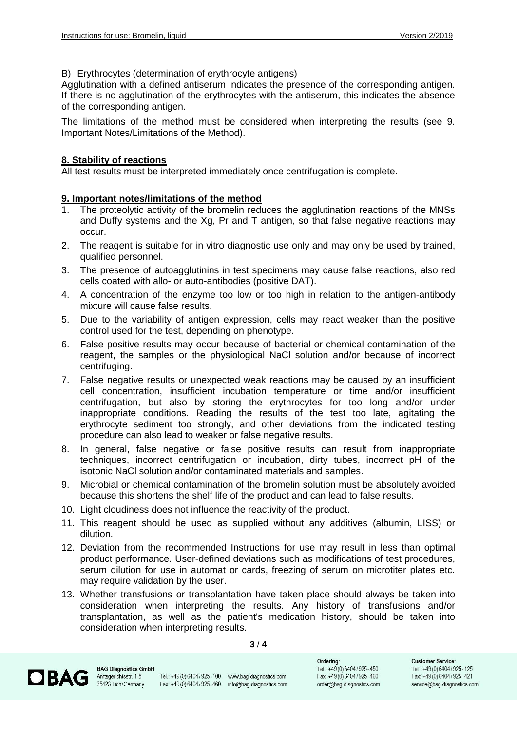B) Erythrocytes (determination of erythrocyte antigens)

Agglutination with a defined antiserum indicates the presence of the corresponding antigen. If there is no agglutination of the erythrocytes with the antiserum, this indicates the absence of the corresponding antigen.

The limitations of the method must be considered when interpreting the results (see 9. Important Notes/Limitations of the Method).

## **8. Stability of reactions**

All test results must be interpreted immediately once centrifugation is complete.

## **9. Important notes/limitations of the method**

- 1. The proteolytic activity of the bromelin reduces the agglutination reactions of the MNSs and Duffy systems and the Xg, Pr and T antigen, so that false negative reactions may occur.
- 2. The reagent is suitable for in vitro diagnostic use only and may only be used by trained, qualified personnel.
- 3. The presence of autoagglutinins in test specimens may cause false reactions, also red cells coated with allo- or auto-antibodies (positive DAT).
- 4. A concentration of the enzyme too low or too high in relation to the antigen-antibody mixture will cause false results.
- 5. Due to the variability of antigen expression, cells may react weaker than the positive control used for the test, depending on phenotype.
- 6. False positive results may occur because of bacterial or chemical contamination of the reagent, the samples or the physiological NaCl solution and/or because of incorrect centrifuging.
- 7. False negative results or unexpected weak reactions may be caused by an insufficient cell concentration, insufficient incubation temperature or time and/or insufficient centrifugation, but also by storing the erythrocytes for too long and/or under inappropriate conditions. Reading the results of the test too late, agitating the erythrocyte sediment too strongly, and other deviations from the indicated testing procedure can also lead to weaker or false negative results.
- 8. In general, false negative or false positive results can result from inappropriate techniques, incorrect centrifugation or incubation, dirty tubes, incorrect pH of the isotonic NaCl solution and/or contaminated materials and samples.
- 9. Microbial or chemical contamination of the bromelin solution must be absolutely avoided because this shortens the shelf life of the product and can lead to false results.
- 10. Light cloudiness does not influence the reactivity of the product.
- 11. This reagent should be used as supplied without any additives (albumin, LISS) or dilution.
- 12. Deviation from the recommended Instructions for use may result in less than optimal product performance. User-defined deviations such as modifications of test procedures, serum dilution for use in automat or cards, freezing of serum on microtiter plates etc. may require validation by the user.
- 13. Whether transfusions or transplantation have taken place should always be taken into consideration when interpreting the results. Any history of transfusions and/or transplantation, as well as the patient's medication history, should be taken into consideration when interpreting results.